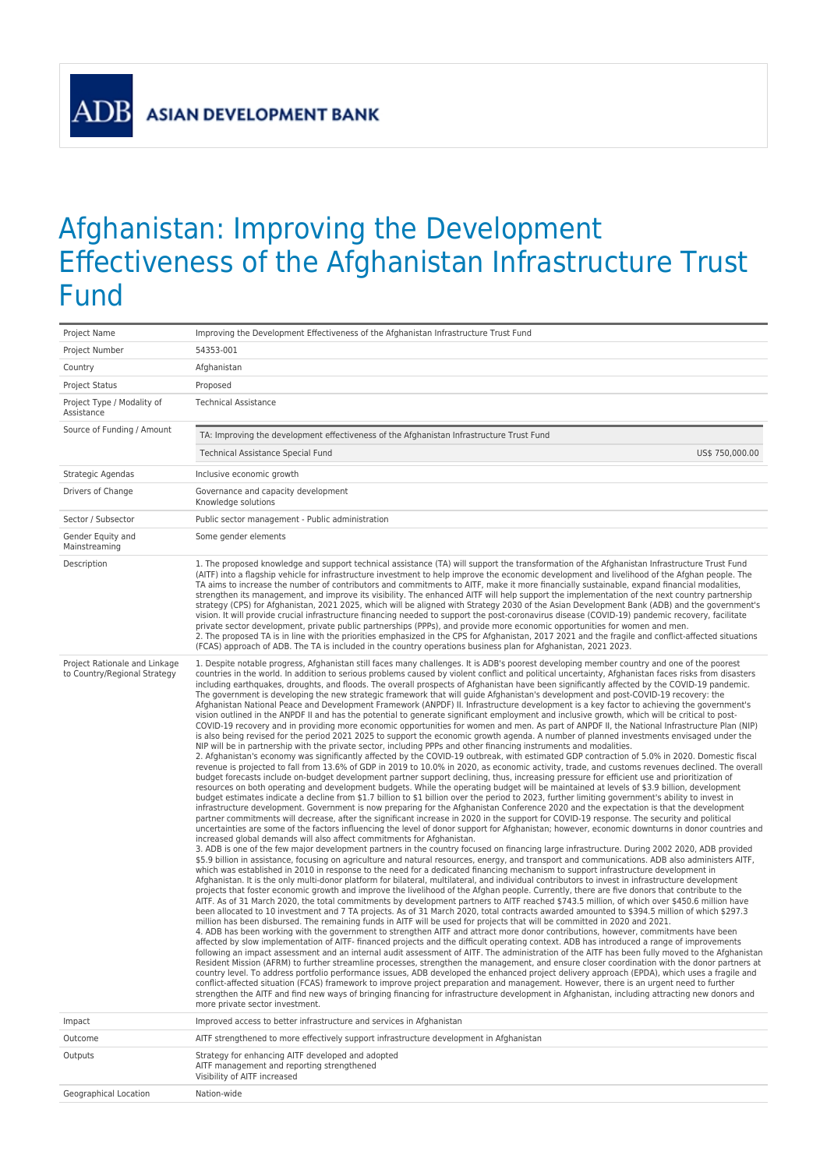**ADB** 

## Afghanistan: Improving the Development Effectiveness of the Afghanistan Infrastructure Trust Fund

| Project Name                                                  | Improving the Development Effectiveness of the Afghanistan Infrastructure Trust Fund                                                                                                                                                                                                                                                                                                                                                                                                                                                                                                                                                                                                                                                                                                                                                                                                                                                                                                                                                                                                                                                                                                                                                                                                                                                                                                                                                                                                                                                                                                                                                                                                                                                                                                                                                                                                                                                                                                                                                                                                                                                                                                                                                                                                                                                                                                                                                                                                                                                                                                                                                                                                                                                                                                                                                                                                                                                                                                                                                                                                                                                                                                                                                                                                                                                                                                                                                                                                                                                                                                                                                                                                                                                                                                                                                                                                                                                                                                                                                                                                                                                                                                                                                                                                                                                                                                                                                                                                                                                                                                                                                                                                                                                                                                                                                              |  |  |
|---------------------------------------------------------------|---------------------------------------------------------------------------------------------------------------------------------------------------------------------------------------------------------------------------------------------------------------------------------------------------------------------------------------------------------------------------------------------------------------------------------------------------------------------------------------------------------------------------------------------------------------------------------------------------------------------------------------------------------------------------------------------------------------------------------------------------------------------------------------------------------------------------------------------------------------------------------------------------------------------------------------------------------------------------------------------------------------------------------------------------------------------------------------------------------------------------------------------------------------------------------------------------------------------------------------------------------------------------------------------------------------------------------------------------------------------------------------------------------------------------------------------------------------------------------------------------------------------------------------------------------------------------------------------------------------------------------------------------------------------------------------------------------------------------------------------------------------------------------------------------------------------------------------------------------------------------------------------------------------------------------------------------------------------------------------------------------------------------------------------------------------------------------------------------------------------------------------------------------------------------------------------------------------------------------------------------------------------------------------------------------------------------------------------------------------------------------------------------------------------------------------------------------------------------------------------------------------------------------------------------------------------------------------------------------------------------------------------------------------------------------------------------------------------------------------------------------------------------------------------------------------------------------------------------------------------------------------------------------------------------------------------------------------------------------------------------------------------------------------------------------------------------------------------------------------------------------------------------------------------------------------------------------------------------------------------------------------------------------------------------------------------------------------------------------------------------------------------------------------------------------------------------------------------------------------------------------------------------------------------------------------------------------------------------------------------------------------------------------------------------------------------------------------------------------------------------------------------------------------------------------------------------------------------------------------------------------------------------------------------------------------------------------------------------------------------------------------------------------------------------------------------------------------------------------------------------------------------------------------------------------------------------------------------------------------------------------------------------------------------------------------------------------------------------------------------------------------------------------------------------------------------------------------------------------------------------------------------------------------------------------------------------------------------------------------------------------------------------------------------------------------------------------------------------------------------------------------------------------------------------------------------------------------------------|--|--|
| Project Number                                                | 54353-001                                                                                                                                                                                                                                                                                                                                                                                                                                                                                                                                                                                                                                                                                                                                                                                                                                                                                                                                                                                                                                                                                                                                                                                                                                                                                                                                                                                                                                                                                                                                                                                                                                                                                                                                                                                                                                                                                                                                                                                                                                                                                                                                                                                                                                                                                                                                                                                                                                                                                                                                                                                                                                                                                                                                                                                                                                                                                                                                                                                                                                                                                                                                                                                                                                                                                                                                                                                                                                                                                                                                                                                                                                                                                                                                                                                                                                                                                                                                                                                                                                                                                                                                                                                                                                                                                                                                                                                                                                                                                                                                                                                                                                                                                                                                                                                                                                         |  |  |
| Country                                                       | Afghanistan                                                                                                                                                                                                                                                                                                                                                                                                                                                                                                                                                                                                                                                                                                                                                                                                                                                                                                                                                                                                                                                                                                                                                                                                                                                                                                                                                                                                                                                                                                                                                                                                                                                                                                                                                                                                                                                                                                                                                                                                                                                                                                                                                                                                                                                                                                                                                                                                                                                                                                                                                                                                                                                                                                                                                                                                                                                                                                                                                                                                                                                                                                                                                                                                                                                                                                                                                                                                                                                                                                                                                                                                                                                                                                                                                                                                                                                                                                                                                                                                                                                                                                                                                                                                                                                                                                                                                                                                                                                                                                                                                                                                                                                                                                                                                                                                                                       |  |  |
| <b>Project Status</b>                                         | Proposed                                                                                                                                                                                                                                                                                                                                                                                                                                                                                                                                                                                                                                                                                                                                                                                                                                                                                                                                                                                                                                                                                                                                                                                                                                                                                                                                                                                                                                                                                                                                                                                                                                                                                                                                                                                                                                                                                                                                                                                                                                                                                                                                                                                                                                                                                                                                                                                                                                                                                                                                                                                                                                                                                                                                                                                                                                                                                                                                                                                                                                                                                                                                                                                                                                                                                                                                                                                                                                                                                                                                                                                                                                                                                                                                                                                                                                                                                                                                                                                                                                                                                                                                                                                                                                                                                                                                                                                                                                                                                                                                                                                                                                                                                                                                                                                                                                          |  |  |
| Project Type / Modality of<br>Assistance                      | <b>Technical Assistance</b>                                                                                                                                                                                                                                                                                                                                                                                                                                                                                                                                                                                                                                                                                                                                                                                                                                                                                                                                                                                                                                                                                                                                                                                                                                                                                                                                                                                                                                                                                                                                                                                                                                                                                                                                                                                                                                                                                                                                                                                                                                                                                                                                                                                                                                                                                                                                                                                                                                                                                                                                                                                                                                                                                                                                                                                                                                                                                                                                                                                                                                                                                                                                                                                                                                                                                                                                                                                                                                                                                                                                                                                                                                                                                                                                                                                                                                                                                                                                                                                                                                                                                                                                                                                                                                                                                                                                                                                                                                                                                                                                                                                                                                                                                                                                                                                                                       |  |  |
| Source of Funding / Amount                                    | TA: Improving the development effectiveness of the Afghanistan Infrastructure Trust Fund                                                                                                                                                                                                                                                                                                                                                                                                                                                                                                                                                                                                                                                                                                                                                                                                                                                                                                                                                                                                                                                                                                                                                                                                                                                                                                                                                                                                                                                                                                                                                                                                                                                                                                                                                                                                                                                                                                                                                                                                                                                                                                                                                                                                                                                                                                                                                                                                                                                                                                                                                                                                                                                                                                                                                                                                                                                                                                                                                                                                                                                                                                                                                                                                                                                                                                                                                                                                                                                                                                                                                                                                                                                                                                                                                                                                                                                                                                                                                                                                                                                                                                                                                                                                                                                                                                                                                                                                                                                                                                                                                                                                                                                                                                                                                          |  |  |
|                                                               | Technical Assistance Special Fund<br>US\$ 750,000.00                                                                                                                                                                                                                                                                                                                                                                                                                                                                                                                                                                                                                                                                                                                                                                                                                                                                                                                                                                                                                                                                                                                                                                                                                                                                                                                                                                                                                                                                                                                                                                                                                                                                                                                                                                                                                                                                                                                                                                                                                                                                                                                                                                                                                                                                                                                                                                                                                                                                                                                                                                                                                                                                                                                                                                                                                                                                                                                                                                                                                                                                                                                                                                                                                                                                                                                                                                                                                                                                                                                                                                                                                                                                                                                                                                                                                                                                                                                                                                                                                                                                                                                                                                                                                                                                                                                                                                                                                                                                                                                                                                                                                                                                                                                                                                                              |  |  |
| Strategic Agendas                                             | Inclusive economic growth                                                                                                                                                                                                                                                                                                                                                                                                                                                                                                                                                                                                                                                                                                                                                                                                                                                                                                                                                                                                                                                                                                                                                                                                                                                                                                                                                                                                                                                                                                                                                                                                                                                                                                                                                                                                                                                                                                                                                                                                                                                                                                                                                                                                                                                                                                                                                                                                                                                                                                                                                                                                                                                                                                                                                                                                                                                                                                                                                                                                                                                                                                                                                                                                                                                                                                                                                                                                                                                                                                                                                                                                                                                                                                                                                                                                                                                                                                                                                                                                                                                                                                                                                                                                                                                                                                                                                                                                                                                                                                                                                                                                                                                                                                                                                                                                                         |  |  |
| Drivers of Change                                             | Governance and capacity development<br>Knowledge solutions                                                                                                                                                                                                                                                                                                                                                                                                                                                                                                                                                                                                                                                                                                                                                                                                                                                                                                                                                                                                                                                                                                                                                                                                                                                                                                                                                                                                                                                                                                                                                                                                                                                                                                                                                                                                                                                                                                                                                                                                                                                                                                                                                                                                                                                                                                                                                                                                                                                                                                                                                                                                                                                                                                                                                                                                                                                                                                                                                                                                                                                                                                                                                                                                                                                                                                                                                                                                                                                                                                                                                                                                                                                                                                                                                                                                                                                                                                                                                                                                                                                                                                                                                                                                                                                                                                                                                                                                                                                                                                                                                                                                                                                                                                                                                                                        |  |  |
| Sector / Subsector                                            | Public sector management - Public administration                                                                                                                                                                                                                                                                                                                                                                                                                                                                                                                                                                                                                                                                                                                                                                                                                                                                                                                                                                                                                                                                                                                                                                                                                                                                                                                                                                                                                                                                                                                                                                                                                                                                                                                                                                                                                                                                                                                                                                                                                                                                                                                                                                                                                                                                                                                                                                                                                                                                                                                                                                                                                                                                                                                                                                                                                                                                                                                                                                                                                                                                                                                                                                                                                                                                                                                                                                                                                                                                                                                                                                                                                                                                                                                                                                                                                                                                                                                                                                                                                                                                                                                                                                                                                                                                                                                                                                                                                                                                                                                                                                                                                                                                                                                                                                                                  |  |  |
| Gender Equity and<br>Mainstreaming                            | Some gender elements                                                                                                                                                                                                                                                                                                                                                                                                                                                                                                                                                                                                                                                                                                                                                                                                                                                                                                                                                                                                                                                                                                                                                                                                                                                                                                                                                                                                                                                                                                                                                                                                                                                                                                                                                                                                                                                                                                                                                                                                                                                                                                                                                                                                                                                                                                                                                                                                                                                                                                                                                                                                                                                                                                                                                                                                                                                                                                                                                                                                                                                                                                                                                                                                                                                                                                                                                                                                                                                                                                                                                                                                                                                                                                                                                                                                                                                                                                                                                                                                                                                                                                                                                                                                                                                                                                                                                                                                                                                                                                                                                                                                                                                                                                                                                                                                                              |  |  |
| Description                                                   | 1. The proposed knowledge and support technical assistance (TA) will support the transformation of the Afghanistan Infrastructure Trust Fund<br>(AITF) into a flagship vehicle for infrastructure investment to help improve the economic development and livelihood of the Afghan people. The<br>TA aims to increase the number of contributors and commitments to AITF, make it more financially sustainable, expand financial modalities,<br>strengthen its management, and improve its visibility. The enhanced AITF will help support the implementation of the next country partnership<br>strategy (CPS) for Afghanistan, 2021 2025, which will be aligned with Strategy 2030 of the Asian Development Bank (ADB) and the government's<br>vision. It will provide crucial infrastructure financing needed to support the post-coronavirus disease (COVID-19) pandemic recovery, facilitate<br>private sector development, private public partnerships (PPPs), and provide more economic opportunities for women and men.<br>2. The proposed TA is in line with the priorities emphasized in the CPS for Afghanistan, 2017 2021 and the fragile and conflict-affected situations<br>(FCAS) approach of ADB. The TA is included in the country operations business plan for Afghanistan, 2021 2023.                                                                                                                                                                                                                                                                                                                                                                                                                                                                                                                                                                                                                                                                                                                                                                                                                                                                                                                                                                                                                                                                                                                                                                                                                                                                                                                                                                                                                                                                                                                                                                                                                                                                                                                                                                                                                                                                                                                                                                                                                                                                                                                                                                                                                                                                                                                                                                                                                                                                                                                                                                                                                                                                                                                                                                                                                                                                                                                                                                                                                                                                                                                                                                                                                                                                                                                                                                                                                                                                                                                                          |  |  |
| Project Rationale and Linkage<br>to Country/Regional Strategy | 1. Despite notable progress, Afghanistan still faces many challenges. It is ADB's poorest developing member country and one of the poorest<br>countries in the world. In addition to serious problems caused by violent conflict and political uncertainty, Afghanistan faces risks from disasters<br>including earthquakes, droughts, and floods. The overall prospects of Afghanistan have been significantly affected by the COVID-19 pandemic.<br>The government is developing the new strategic framework that will guide Afghanistan's development and post-COVID-19 recovery: the<br>Afghanistan National Peace and Development Framework (ANPDF) II. Infrastructure development is a key factor to achieving the government's<br>vision outlined in the ANPDF II and has the potential to generate significant employment and inclusive growth, which will be critical to post-<br>COVID-19 recovery and in providing more economic opportunities for women and men. As part of ANPDF II, the National Infrastructure Plan (NIP)<br>is also being revised for the period 2021 2025 to support the economic growth agenda. A number of planned investments envisaged under the<br>NIP will be in partnership with the private sector, including PPPs and other financing instruments and modalities.<br>2. Afghanistan's economy was significantly affected by the COVID-19 outbreak, with estimated GDP contraction of 5.0% in 2020. Domestic fiscal<br>revenue is projected to fall from 13.6% of GDP in 2019 to 10.0% in 2020, as economic activity, trade, and customs revenues declined. The overall<br>budget forecasts include on-budget development partner support declining, thus, increasing pressure for efficient use and prioritization of<br>resources on both operating and development budgets. While the operating budget will be maintained at levels of \$3.9 billion, development<br>budget estimates indicate a decline from \$1.7 billion to \$1 billion over the period to 2023, further limiting government's ability to invest in<br>infrastructure development. Government is now preparing for the Afghanistan Conference 2020 and the expectation is that the development<br>partner commitments will decrease, after the significant increase in 2020 in the support for COVID-19 response. The security and political<br>uncertainties are some of the factors influencing the level of donor support for Afghanistan; however, economic downturns in donor countries and<br>increased global demands will also affect commitments for Afghanistan.<br>3. ADB is one of the few major development partners in the country focused on financing large infrastructure. During 2002 2020, ADB provided<br>\$5.9 billion in assistance, focusing on agriculture and natural resources, energy, and transport and communications. ADB also administers AITF,<br>which was established in 2010 in response to the need for a dedicated financing mechanism to support infrastructure development in<br>Afghanistan. It is the only multi-donor platform for bilateral, multilateral, and individual contributors to invest in infrastructure development<br>projects that foster economic growth and improve the livelihood of the Afghan people. Currently, there are five donors that contribute to the<br>AITF. As of 31 March 2020, the total commitments by development partners to AITF reached \$743.5 million, of which over \$450.6 million have<br>been allocated to 10 investment and 7 TA projects. As of 31 March 2020, total contracts awarded amounted to \$394.5 million of which \$297.3<br>million has been disbursed. The remaining funds in AITF will be used for projects that will be committed in 2020 and 2021.<br>4. ADB has been working with the government to strengthen AITF and attract more donor contributions, however, commitments have been<br>affected by slow implementation of AITF- financed projects and the difficult operating context. ADB has introduced a range of improvements<br>following an impact assessment and an internal audit assessment of AITF. The administration of the AITF has been fully moved to the Afghanistan<br>Resident Mission (AFRM) to further streamline processes, strengthen the management, and ensure closer coordination with the donor partners at<br>country level. To address portfolio performance issues. ADB developed the enhanced project delivery approach (EPDA), which uses a fragile and<br>conflict-affected situation (FCAS) framework to improve project preparation and management. However, there is an urgent need to further<br>strengthen the AITF and find new ways of bringing financing for infrastructure development in Afghanistan, including attracting new donors and<br>more private sector investment. |  |  |
| Impact                                                        | Improved access to better infrastructure and services in Afghanistan                                                                                                                                                                                                                                                                                                                                                                                                                                                                                                                                                                                                                                                                                                                                                                                                                                                                                                                                                                                                                                                                                                                                                                                                                                                                                                                                                                                                                                                                                                                                                                                                                                                                                                                                                                                                                                                                                                                                                                                                                                                                                                                                                                                                                                                                                                                                                                                                                                                                                                                                                                                                                                                                                                                                                                                                                                                                                                                                                                                                                                                                                                                                                                                                                                                                                                                                                                                                                                                                                                                                                                                                                                                                                                                                                                                                                                                                                                                                                                                                                                                                                                                                                                                                                                                                                                                                                                                                                                                                                                                                                                                                                                                                                                                                                                              |  |  |
| Outcome                                                       | AITF strengthened to more effectively support infrastructure development in Afghanistan                                                                                                                                                                                                                                                                                                                                                                                                                                                                                                                                                                                                                                                                                                                                                                                                                                                                                                                                                                                                                                                                                                                                                                                                                                                                                                                                                                                                                                                                                                                                                                                                                                                                                                                                                                                                                                                                                                                                                                                                                                                                                                                                                                                                                                                                                                                                                                                                                                                                                                                                                                                                                                                                                                                                                                                                                                                                                                                                                                                                                                                                                                                                                                                                                                                                                                                                                                                                                                                                                                                                                                                                                                                                                                                                                                                                                                                                                                                                                                                                                                                                                                                                                                                                                                                                                                                                                                                                                                                                                                                                                                                                                                                                                                                                                           |  |  |
| Outputs                                                       | Strategy for enhancing AITF developed and adopted<br>AITF management and reporting strengthened<br>Visibility of AITF increased                                                                                                                                                                                                                                                                                                                                                                                                                                                                                                                                                                                                                                                                                                                                                                                                                                                                                                                                                                                                                                                                                                                                                                                                                                                                                                                                                                                                                                                                                                                                                                                                                                                                                                                                                                                                                                                                                                                                                                                                                                                                                                                                                                                                                                                                                                                                                                                                                                                                                                                                                                                                                                                                                                                                                                                                                                                                                                                                                                                                                                                                                                                                                                                                                                                                                                                                                                                                                                                                                                                                                                                                                                                                                                                                                                                                                                                                                                                                                                                                                                                                                                                                                                                                                                                                                                                                                                                                                                                                                                                                                                                                                                                                                                                   |  |  |
| Geographical Location                                         | Nation-wide                                                                                                                                                                                                                                                                                                                                                                                                                                                                                                                                                                                                                                                                                                                                                                                                                                                                                                                                                                                                                                                                                                                                                                                                                                                                                                                                                                                                                                                                                                                                                                                                                                                                                                                                                                                                                                                                                                                                                                                                                                                                                                                                                                                                                                                                                                                                                                                                                                                                                                                                                                                                                                                                                                                                                                                                                                                                                                                                                                                                                                                                                                                                                                                                                                                                                                                                                                                                                                                                                                                                                                                                                                                                                                                                                                                                                                                                                                                                                                                                                                                                                                                                                                                                                                                                                                                                                                                                                                                                                                                                                                                                                                                                                                                                                                                                                                       |  |  |
|                                                               |                                                                                                                                                                                                                                                                                                                                                                                                                                                                                                                                                                                                                                                                                                                                                                                                                                                                                                                                                                                                                                                                                                                                                                                                                                                                                                                                                                                                                                                                                                                                                                                                                                                                                                                                                                                                                                                                                                                                                                                                                                                                                                                                                                                                                                                                                                                                                                                                                                                                                                                                                                                                                                                                                                                                                                                                                                                                                                                                                                                                                                                                                                                                                                                                                                                                                                                                                                                                                                                                                                                                                                                                                                                                                                                                                                                                                                                                                                                                                                                                                                                                                                                                                                                                                                                                                                                                                                                                                                                                                                                                                                                                                                                                                                                                                                                                                                                   |  |  |